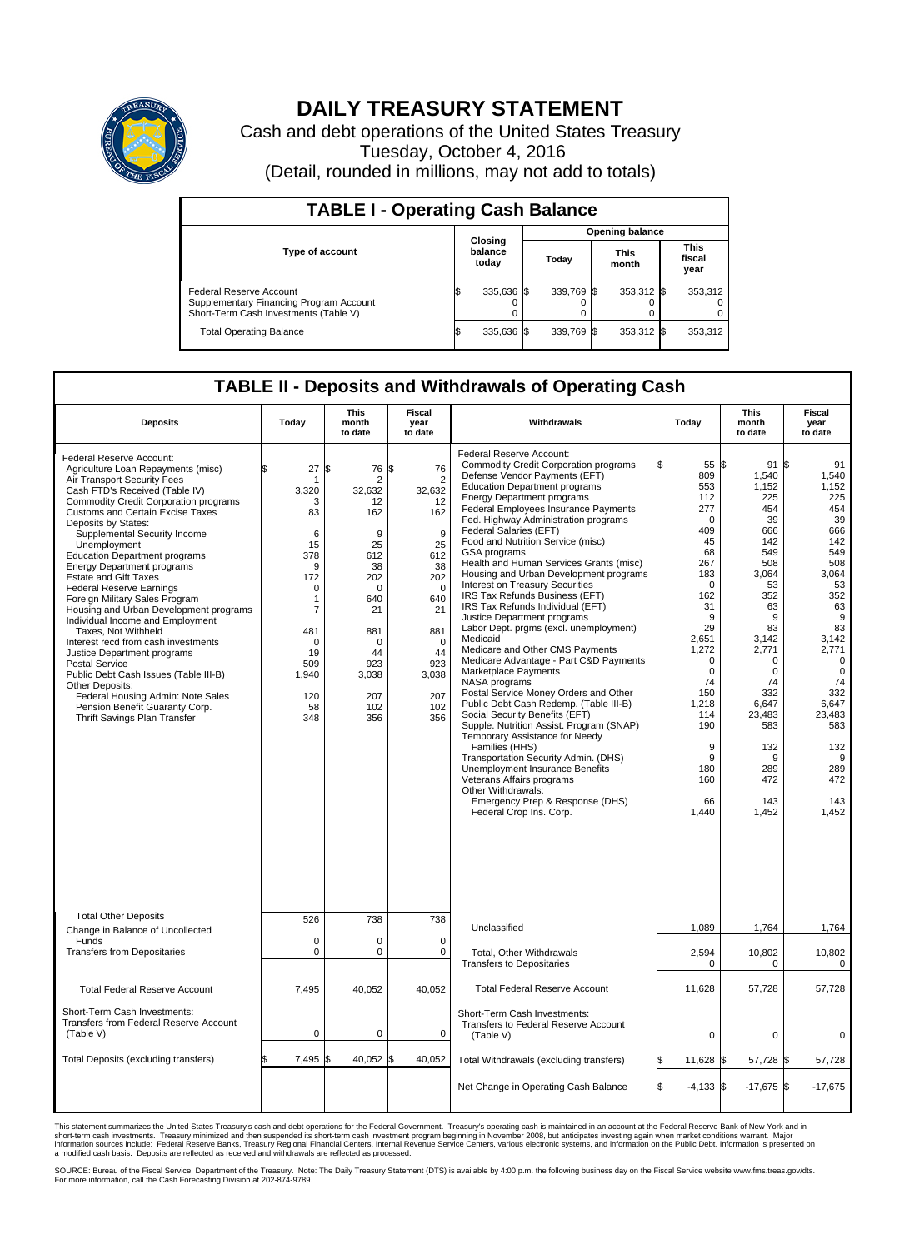

## **DAILY TREASURY STATEMENT**

Cash and debt operations of the United States Treasury Tuesday, October 4, 2016 (Detail, rounded in millions, may not add to totals)

| <b>TABLE I - Operating Cash Balance</b>                                                                     |                             |            |                        |            |                      |            |                               |         |  |  |
|-------------------------------------------------------------------------------------------------------------|-----------------------------|------------|------------------------|------------|----------------------|------------|-------------------------------|---------|--|--|
|                                                                                                             | Closing<br>balance<br>today |            | <b>Opening balance</b> |            |                      |            |                               |         |  |  |
| <b>Type of account</b>                                                                                      |                             |            | Today                  |            | <b>This</b><br>month |            | <b>This</b><br>fiscal<br>year |         |  |  |
| Federal Reserve Account<br>Supplementary Financing Program Account<br>Short-Term Cash Investments (Table V) |                             | 335,636 \$ |                        | 339.769 \$ |                      | 353,312 \$ |                               | 353,312 |  |  |
| <b>Total Operating Balance</b>                                                                              |                             | 335,636 \$ |                        | 339.769 \$ |                      | 353,312 \$ |                               | 353,312 |  |  |

## **TABLE II - Deposits and Withdrawals of Operating Cash**

| <b>Deposits</b>                                                                                                                                                                                                                                                                                                                                                                                                                                                                                                                                                                                                                                                                                                                                                                                                                                            | Today                                                                                                                                                                             | <b>This</b><br>month<br>to date                                                                                                                                                | <b>Fiscal</b><br>year<br>to date                                                                                                                                            | Withdrawals                                                                                                                                                                                                                                                                                                                                                                                                                                                                                                                                                                                                                                                                                                                                                                                                                                                                                                                                                                                                                                                                                                                                                                     | Today                                                                                                                                                                                                                                            | <b>This</b><br>month<br>to date                                                                                                                                                                                                              | Fiscal<br>year<br>to date                                                                                                                                                                                                                                |
|------------------------------------------------------------------------------------------------------------------------------------------------------------------------------------------------------------------------------------------------------------------------------------------------------------------------------------------------------------------------------------------------------------------------------------------------------------------------------------------------------------------------------------------------------------------------------------------------------------------------------------------------------------------------------------------------------------------------------------------------------------------------------------------------------------------------------------------------------------|-----------------------------------------------------------------------------------------------------------------------------------------------------------------------------------|--------------------------------------------------------------------------------------------------------------------------------------------------------------------------------|-----------------------------------------------------------------------------------------------------------------------------------------------------------------------------|---------------------------------------------------------------------------------------------------------------------------------------------------------------------------------------------------------------------------------------------------------------------------------------------------------------------------------------------------------------------------------------------------------------------------------------------------------------------------------------------------------------------------------------------------------------------------------------------------------------------------------------------------------------------------------------------------------------------------------------------------------------------------------------------------------------------------------------------------------------------------------------------------------------------------------------------------------------------------------------------------------------------------------------------------------------------------------------------------------------------------------------------------------------------------------|--------------------------------------------------------------------------------------------------------------------------------------------------------------------------------------------------------------------------------------------------|----------------------------------------------------------------------------------------------------------------------------------------------------------------------------------------------------------------------------------------------|----------------------------------------------------------------------------------------------------------------------------------------------------------------------------------------------------------------------------------------------------------|
| Federal Reserve Account:<br>Agriculture Loan Repayments (misc)<br>Air Transport Security Fees<br>Cash FTD's Received (Table IV)<br><b>Commodity Credit Corporation programs</b><br><b>Customs and Certain Excise Taxes</b><br>Deposits by States:<br>Supplemental Security Income<br>Unemployment<br><b>Education Department programs</b><br><b>Energy Department programs</b><br><b>Estate and Gift Taxes</b><br><b>Federal Reserve Earnings</b><br>Foreign Military Sales Program<br>Housing and Urban Development programs<br>Individual Income and Employment<br>Taxes. Not Withheld<br>Interest recd from cash investments<br>Justice Department programs<br><b>Postal Service</b><br>Public Debt Cash Issues (Table III-B)<br>Other Deposits:<br>Federal Housing Admin: Note Sales<br>Pension Benefit Guaranty Corp.<br>Thrift Savings Plan Transfer | 27<br>\$<br>-1<br>3,320<br>3<br>83<br>6<br>15<br>378<br>9<br>172<br>$\mathbf 0$<br>$\mathbf{1}$<br>$\overline{7}$<br>481<br>$\mathbf 0$<br>19<br>509<br>1,940<br>120<br>58<br>348 | l\$<br>76<br>$\overline{2}$<br>32,632<br>12<br>162<br>9<br>25<br>612<br>38<br>202<br>$\mathbf 0$<br>640<br>21<br>881<br>$\mathbf 0$<br>44<br>923<br>3,038<br>207<br>102<br>356 | l\$<br>76<br>$\overline{2}$<br>32,632<br>12<br>162<br>9<br>25<br>612<br>38<br>202<br>$\Omega$<br>640<br>21<br>881<br>$\mathbf 0$<br>44<br>923<br>3,038<br>207<br>102<br>356 | Federal Reserve Account:<br><b>Commodity Credit Corporation programs</b><br>Defense Vendor Payments (EFT)<br><b>Education Department programs</b><br><b>Energy Department programs</b><br>Federal Employees Insurance Payments<br>Fed. Highway Administration programs<br>Federal Salaries (EFT)<br>Food and Nutrition Service (misc)<br>GSA programs<br>Health and Human Services Grants (misc)<br>Housing and Urban Development programs<br>Interest on Treasury Securities<br>IRS Tax Refunds Business (EFT)<br>IRS Tax Refunds Individual (EFT)<br>Justice Department programs<br>Labor Dept. prgms (excl. unemployment)<br>Medicaid<br>Medicare and Other CMS Payments<br>Medicare Advantage - Part C&D Payments<br>Marketplace Payments<br>NASA programs<br>Postal Service Money Orders and Other<br>Public Debt Cash Redemp. (Table III-B)<br>Social Security Benefits (EFT)<br>Supple. Nutrition Assist. Program (SNAP)<br>Temporary Assistance for Needy<br>Families (HHS)<br>Transportation Security Admin. (DHS)<br>Unemployment Insurance Benefits<br>Veterans Affairs programs<br>Other Withdrawals:<br>Emergency Prep & Response (DHS)<br>Federal Crop Ins. Corp. | 55 \$<br>809<br>553<br>112<br>277<br>$\mathbf 0$<br>409<br>45<br>68<br>267<br>183<br>$\Omega$<br>162<br>31<br>9<br>29<br>2,651<br>1,272<br>$\mathbf 0$<br>$\mathbf 0$<br>74<br>150<br>1,218<br>114<br>190<br>9<br>9<br>180<br>160<br>66<br>1,440 | 91<br>1,540<br>1,152<br>225<br>454<br>39<br>666<br>142<br>549<br>508<br>3.064<br>53<br>352<br>63<br>9<br>83<br>3,142<br>2,771<br>$\mathbf 0$<br>$\mathbf 0$<br>74<br>332<br>6,647<br>23.483<br>583<br>132<br>9<br>289<br>472<br>143<br>1,452 | <b>S</b><br>91<br>1,540<br>1,152<br>225<br>454<br>39<br>666<br>142<br>549<br>508<br>3,064<br>53<br>352<br>63<br>9<br>83<br>3,142<br>2,771<br>$\mathbf 0$<br>$\mathbf 0$<br>74<br>332<br>6,647<br>23,483<br>583<br>132<br>9<br>289<br>472<br>143<br>1,452 |
| <b>Total Other Deposits</b><br>Change in Balance of Uncollected                                                                                                                                                                                                                                                                                                                                                                                                                                                                                                                                                                                                                                                                                                                                                                                            | 526                                                                                                                                                                               | 738                                                                                                                                                                            | 738                                                                                                                                                                         | Unclassified                                                                                                                                                                                                                                                                                                                                                                                                                                                                                                                                                                                                                                                                                                                                                                                                                                                                                                                                                                                                                                                                                                                                                                    | 1,089                                                                                                                                                                                                                                            | 1,764                                                                                                                                                                                                                                        | 1,764                                                                                                                                                                                                                                                    |
| Funds<br><b>Transfers from Depositaries</b>                                                                                                                                                                                                                                                                                                                                                                                                                                                                                                                                                                                                                                                                                                                                                                                                                | $\mathbf 0$<br>$\mathbf 0$                                                                                                                                                        | $\Omega$<br>0                                                                                                                                                                  | $\mathbf 0$<br>$\mathbf 0$                                                                                                                                                  | Total, Other Withdrawals<br><b>Transfers to Depositaries</b>                                                                                                                                                                                                                                                                                                                                                                                                                                                                                                                                                                                                                                                                                                                                                                                                                                                                                                                                                                                                                                                                                                                    | 2,594<br>$\mathbf 0$                                                                                                                                                                                                                             | 10,802<br>0                                                                                                                                                                                                                                  | 10,802<br>0                                                                                                                                                                                                                                              |
| <b>Total Federal Reserve Account</b>                                                                                                                                                                                                                                                                                                                                                                                                                                                                                                                                                                                                                                                                                                                                                                                                                       | 7,495                                                                                                                                                                             | 40,052                                                                                                                                                                         | 40.052                                                                                                                                                                      | <b>Total Federal Reserve Account</b>                                                                                                                                                                                                                                                                                                                                                                                                                                                                                                                                                                                                                                                                                                                                                                                                                                                                                                                                                                                                                                                                                                                                            | 11,628                                                                                                                                                                                                                                           | 57,728                                                                                                                                                                                                                                       | 57,728                                                                                                                                                                                                                                                   |
| Short-Term Cash Investments:<br>Transfers from Federal Reserve Account<br>(Table V)                                                                                                                                                                                                                                                                                                                                                                                                                                                                                                                                                                                                                                                                                                                                                                        | $\pmb{0}$                                                                                                                                                                         | $\mathbf 0$                                                                                                                                                                    | $\mathbf 0$                                                                                                                                                                 | Short-Term Cash Investments:<br>Transfers to Federal Reserve Account<br>(Table V)                                                                                                                                                                                                                                                                                                                                                                                                                                                                                                                                                                                                                                                                                                                                                                                                                                                                                                                                                                                                                                                                                               | $\Omega$                                                                                                                                                                                                                                         | $\mathbf 0$                                                                                                                                                                                                                                  | $\mathbf 0$                                                                                                                                                                                                                                              |
| Total Deposits (excluding transfers)                                                                                                                                                                                                                                                                                                                                                                                                                                                                                                                                                                                                                                                                                                                                                                                                                       | 7,495                                                                                                                                                                             | 40,052 \$<br>\$                                                                                                                                                                | 40,052                                                                                                                                                                      | Total Withdrawals (excluding transfers)                                                                                                                                                                                                                                                                                                                                                                                                                                                                                                                                                                                                                                                                                                                                                                                                                                                                                                                                                                                                                                                                                                                                         | \$<br>11,628 \$                                                                                                                                                                                                                                  | 57,728 \$                                                                                                                                                                                                                                    | 57,728                                                                                                                                                                                                                                                   |
|                                                                                                                                                                                                                                                                                                                                                                                                                                                                                                                                                                                                                                                                                                                                                                                                                                                            |                                                                                                                                                                                   |                                                                                                                                                                                |                                                                                                                                                                             | Net Change in Operating Cash Balance                                                                                                                                                                                                                                                                                                                                                                                                                                                                                                                                                                                                                                                                                                                                                                                                                                                                                                                                                                                                                                                                                                                                            | \$.<br>$-4,133$ \$                                                                                                                                                                                                                               | $-17,675$ \$                                                                                                                                                                                                                                 | $-17,675$                                                                                                                                                                                                                                                |

This statement summarizes the United States Treasury's cash and debt operations for the Federal Government. Treasury's operating cash is maintained in an account at the Federal Reserve Bank of New York and in<br>short-term ca

SOURCE: Bureau of the Fiscal Service, Department of the Treasury. Note: The Daily Treasury Statement (DTS) is available by 4:00 p.m. the following business day on the Fiscal Service website www.fms.treas.gov/dts.<br>For more